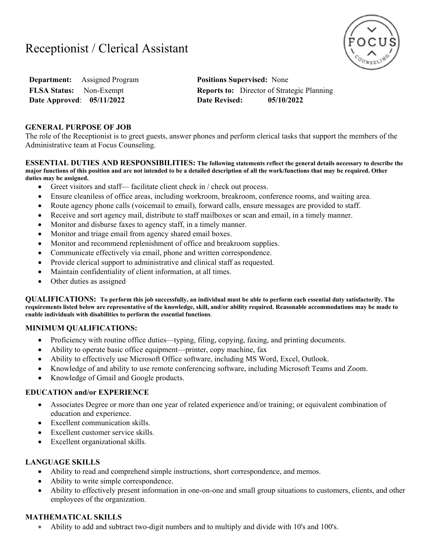# Receptionist / Clerical Assistant



**Department:** Assigned Program **Positions Supervised:** None **Date Approved**: **05/11/2022 Date Revised: 05/10/2022**

**FLSA Status:** Non-Exempt **Reports to:** Director of Strategic Planning

### **GENERAL PURPOSE OF JOB**

The role of the Receptionist is to greet guests, answer phones and perform clerical tasks that support the members of the Administrative team at Focus Counseling.

**ESSENTIAL DUTIES AND RESPONSIBILITIES: The following statements reflect the general details necessary to describe the major functions of this position and are not intended to be a detailed description of all the work/functions that may be required. Other duties may be assigned.** 

- Greet visitors and staff— facilitate client check in / check out process.
- Ensure cleaniless of office areas, including workroom, breakroom, conference rooms, and waiting area.
- Route agency phone calls (voicemail to email), forward calls, ensure messages are provided to staff.
- Receive and sort agency mail, distribute to staff mailboxes or scan and email, in a timely manner.
- Monitor and disburse faxes to agency staff, in a timely manner.
- Monitor and triage email from agency shared email boxes.
- Monitor and recommend replenishment of office and breakroom supplies.
- Communicate effectively via email, phone and written correspondence.
- Provide clerical support to administrative and clinical staff as requested.
- Maintain confidentiality of client information, at all times.
- Other duties as assigned

**QUALIFICATIONS: To perform this job successfully, an individual must be able to perform each essential duty satisfactorily. The requirements listed below are representative of the knowledge, skill, and/or ability required. Reasonable accommodations may be made to enable individuals with disabilities to perform the essential functions**.

### **MINIMUM QUALIFICATIONS:**

- Proficiency with routine office duties—typing, filing, copying, faxing, and printing documents.
- Ability to operate basic office equipment—printer, copy machine, fax
- Ability to effectively use Microsoft Office software, including MS Word, Excel, Outlook.
- Knowledge of and ability to use remote conferencing software, including Microsoft Teams and Zoom.
- Knowledge of Gmail and Google products.

### **EDUCATION and/or EXPERIENCE**

- Associates Degree or more than one year of related experience and/or training; or equivalent combination of education and experience.
- Excellent communication skills.
- Excellent customer service skills.
- Excellent organizational skills.

### **LANGUAGE SKILLS**

- Ability to read and comprehend simple instructions, short correspondence, and memos.
- Ability to write simple correspondence.
- Ability to effectively present information in one-on-one and small group situations to customers, clients, and other employees of the organization.

### **MATHEMATICAL SKILLS**

Ability to add and subtract two-digit numbers and to multiply and divide with 10's and 100's.